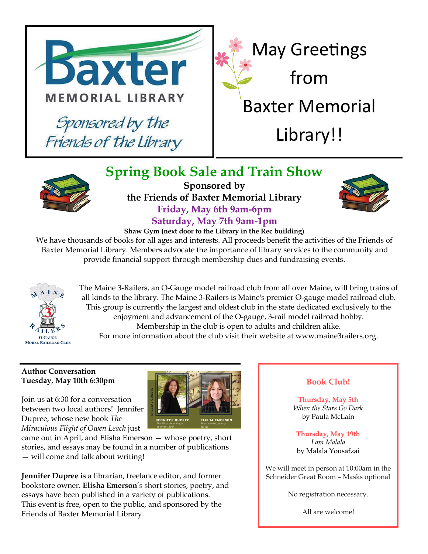

**Spring Book Sale and Train Show**



**Sponsored by the Friends of Baxter Memorial Library Friday, May 6th 9am-6pm Saturday, May 7th 9am-1pm**



## **Shaw Gym (next door to the Library in the Rec building)**

We have thousands of books for all ages and interests. All proceeds benefit the activities of the Friends of Baxter Memorial Library. Members advocate the importance of library services to the community and provide financial support through membership dues and fundraising events.



The Maine 3-Railers, an O-Gauge model railroad club from all over Maine, will bring trains of all kinds to the library. The Maine 3-Railers is Maine's premier O-gauge model railroad club. This group is currently the largest and oldest club in the state dedicated exclusively to the enjoyment and advancement of the O-gauge, 3-rail model railroad hobby. Membership in the club is open to adults and children alike.

For more information about the club visit their website at www.maine3railers.org.

## **Author Conversation Tuesday, May 10th 6:30pm**

Join us at 6:30 for a conversation between two local authors! Jennifer Dupree, whose new book *The Miraculous Flight of Owen Leach* just



came out in April, and Elisha Emerson — whose poetry, short stories, and essays may be found in a number of publications — will come and talk about writing!

**Jennifer Dupree** is a librarian, freelance editor, and former bookstore owner. **Elisha Emerson**'s short stories, poetry, and essays have been published in a variety of publications. This event is free, open to the public, and sponsored by the Friends of Baxter Memorial Library.

## **Book Club!**

**Thursday, May 5th** *When the Stars Go Dark* by Paula McLain

**Thursday, May 19th** *I am Malala* by Malala Yousafzai

We will meet in person at 10:00am in the Schneider Great Room – Masks optional

No registration necessary.

All are welcome!